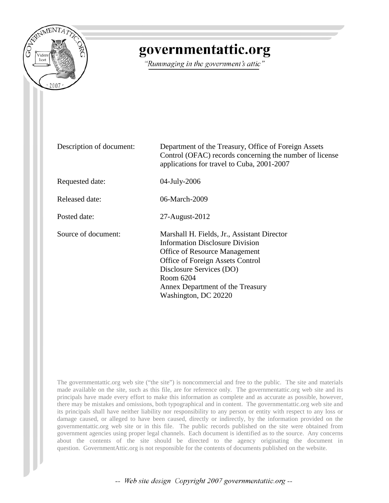

# governmentattic.org

"Rummaging in the government's attic"

| Description of document: | Department of the Treasury, Office of Foreign Assets<br>Control (OFAC) records concerning the number of license<br>applications for travel to Cuba, 2001-2007                                                                                                          |
|--------------------------|------------------------------------------------------------------------------------------------------------------------------------------------------------------------------------------------------------------------------------------------------------------------|
| Requested date:          | 04-July-2006                                                                                                                                                                                                                                                           |
| Released date:           | 06-March-2009                                                                                                                                                                                                                                                          |
| Posted date:             | 27-August-2012                                                                                                                                                                                                                                                         |
| Source of document:      | Marshall H. Fields, Jr., Assistant Director<br><b>Information Disclosure Division</b><br><b>Office of Resource Management</b><br>Office of Foreign Assets Control<br>Disclosure Services (DO)<br>Room 6204<br>Annex Department of the Treasury<br>Washington, DC 20220 |

The governmentattic.org web site ("the site") is noncommercial and free to the public. The site and materials made available on the site, such as this file, are for reference only. The governmentattic.org web site and its principals have made every effort to make this information as complete and as accurate as possible, however, there may be mistakes and omissions, both typographical and in content. The governmentattic.org web site and its principals shall have neither liability nor responsibility to any person or entity with respect to any loss or damage caused, or alleged to have been caused, directly or indirectly, by the information provided on the governmentattic.org web site or in this file. The public records published on the site were obtained from government agencies using proper legal channels. Each document is identified as to the source. Any concerns about the contents of the site should be directed to the agency originating the document in question. GovernmentAttic.org is not responsible for the contents of documents published on the website.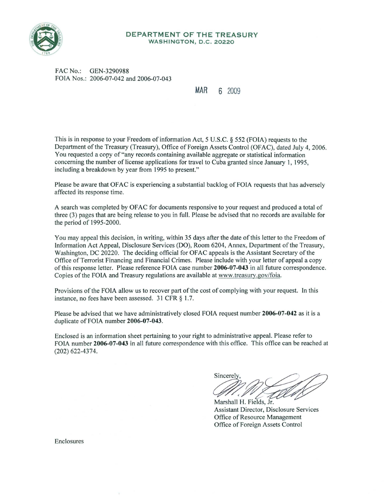

#### **DEPARTMENT OF THE TREASURY WASHINGTON, D.C. 20220**

FAC No.: GEN-3290988 FOIA Nos.: 2006-07-042 and 2006-07-043

#### **MAR 6** 2009

This is in response to your Freedom of information Act, 5 U.S.C. § 552 (FOIA) requests to the Department of the Treasury (Treasury), Office of Foreign Assets Control (OFAC), dated July 4, 2006. You requested a copy of"any records containing available aggregate or statistical information concerning the number oflicense applications for travel to Cuba granted since January 1, 1995, including a breakdown by year from 1995 to present."

Please be aware that OFAC is experiencing a substantial backlog of FOIA requests that has adversely affected its response time.

A search was completed by OFAC for documents responsive to your request and produced a total of three (3) pages that are being release to you in full. Please be advised that no records are available for the period of 1995-2000.

You may appeal this decision, in writing, within 35 days after the date of this letter to the Freedom of Information Act Appeal, Disclosure Services (DO), Room 6204, Annex, Department of the Treasury, Washington, DC 20220. The deciding official for OFAC appeals is the Assistant Secretary of the Office of Terrorist Financing and Financial Crimes. Please include with your letter of appeal a copy of this response letter. Please reference FOIA case number **2006-07-043** in all future correspondence. Copies of the FOIA and Treasury regulations are available at www.treasury.gov/foia.

Provisions of the FOIA allow us to recover part of the cost of complying with your request. In this instance, no fees have been assessed.  $31$  CFR  $\S$  1.7.

Please be advised that we have administratively closed FOIA request number **2006-07-042** as it is a duplicate of FOIA number **2006-07-043.** 

Enclosed is an information sheet pertaining to your right to administrative appeal. Please refer to FOIA number **2006-07-043** in all future correspondence with this office. This office can be reached at (202) 622-4374.

Sincerely  $\ell\ell$ r

Marshall H. Fields, Jr. Assistant Director, Disclosure Services Office of Resource Management Office of Foreign Assets Control

Enclosures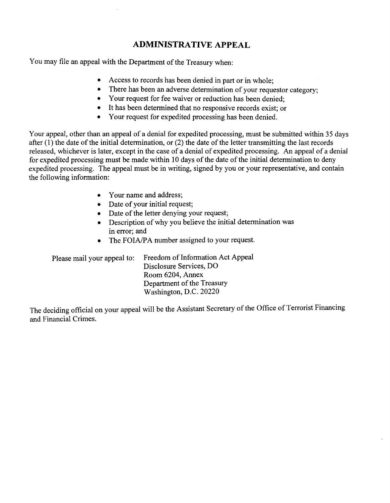### **ADMINISTRATIVE APPEAL**

You may file an appeal with the Department of the Treasury when:

- Access to records has been denied in part or in whole:
- There has been an adverse determination of your requestor category;
- Your request for fee waiver or reduction has been denied;
- It has been determined that no responsive records exist; or
- Your request for expedited processing has been denied.

Your appeal, other than an appeal of a denial for expedited processing, must be submitted within 35 days after (1) the date of the initial determination, or (2) the date of the letter transmitting the last records released, whichever is later, except in the case of a denial of expedited processing. An appeal of a denial for expedited processing must be made within 10 days of the date of the initial determination to deny expedited processing. The appeal must be in writing, signed by you or your representative, and contain the following information:

- Your name and address;
- Date of your initial request;
- Date of the letter denying your request;
- Description of why you believe the initial determination was in error; and
- The FOIA/PA number assigned to your request.

Please mail your appeal to: Freedom of Information Act Appeal Disclosure Services, DO Room 6204, Annex Department of the Treasury Washington, D.C. 20220

The deciding official on your appeal will be the Assistant Secretary of the Office of Terrorist Financing and Financial Crimes.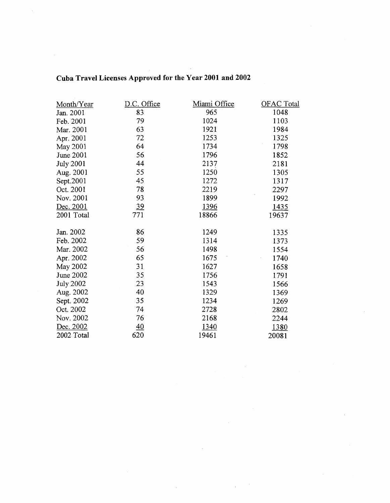| Month/Year       | D.C. Office | Miami Office | <b>OFAC Total</b> |
|------------------|-------------|--------------|-------------------|
| Jan. 2001        | 83          | 965          | 1048              |
| Feb. 2001        | 79          | 1024         | 1103              |
| Mar. 2001        | 63          | 1921         | 1984              |
| Apr. 2001        | 72          | 1253         | 1325              |
| May 2001         | 64          | 1734         | 1798              |
| June 2001        | 56          | 1796         | 1852              |
| <b>July 2001</b> | 44          | 2137         | 2181              |
| Aug. 2001        | 55          | 1250         | 1305              |
| Sept.2001        | 45          | 1272         | 1317              |
| Oct. 2001        | 78          | 2219         | 2297              |
| Nov. 2001        | 93          | 1899         | 1992              |
| Dec. 2001        | 39          | 1396         | 1435              |
| 2001 Total       | 771         | 18866        | 19637             |
|                  |             |              |                   |
| Jan. 2002        | 86          | 1249         | 1335              |
| Feb. 2002        | 59          | 1314         | 1373              |
| Mar. 2002        | 56          | 1498         | 1554              |
| Apr. 2002        | 65          | 1675         | 1740              |
| <b>May 2002</b>  | 31          | 1627         | 1658              |
| June 2002        | 35          | 1756         | 1791              |
| <b>July 2002</b> | 23          | 1543         | 1566              |
| Aug. 2002        | 40          | 1329         | 1369              |
| Sept. 2002       | 35          | 1234         | 1269              |
| Oct. 2002        | 74          | 2728         | 2802              |
| Nov. 2002        | 76          | 2168         | 2244              |
| Dec. 2002        | 40          | 1340         | <u>1380</u>       |
| 2002 Total       | 620         | 19461        | 20081             |

## **Cuba Travel Licenses Approved for theY ear 2001 and 2002**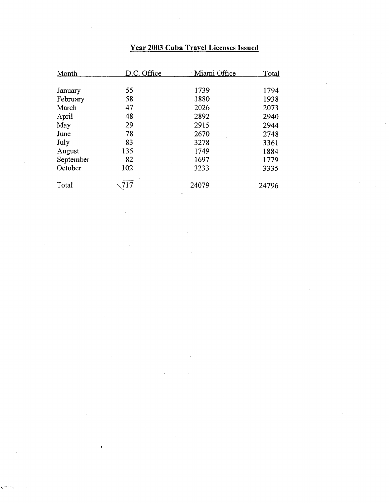## **Year 2003 Cuba Travel Licenses Issued**

| Month     | D.C. Office | Miami Office | Total |
|-----------|-------------|--------------|-------|
| January   | 55          | 1739         | 1794  |
| February  | 58          | 1880         | 1938  |
| March     | 47          | 2026         | 2073  |
| April     | 48          | 2892         | 2940  |
| May       | 29          | 2915         | 2944  |
| June      | 78          | 2670         | 2748  |
| July      | 83          | 3278         | 3361  |
| August    | 135         | 1749         | 1884  |
| September | 82          | 1697         | 1779  |
| October   | 102         | 3233         | 3335  |
| Total     | 717         | 24079        | 24796 |

'

 $\bar{\mathbf{t}}$